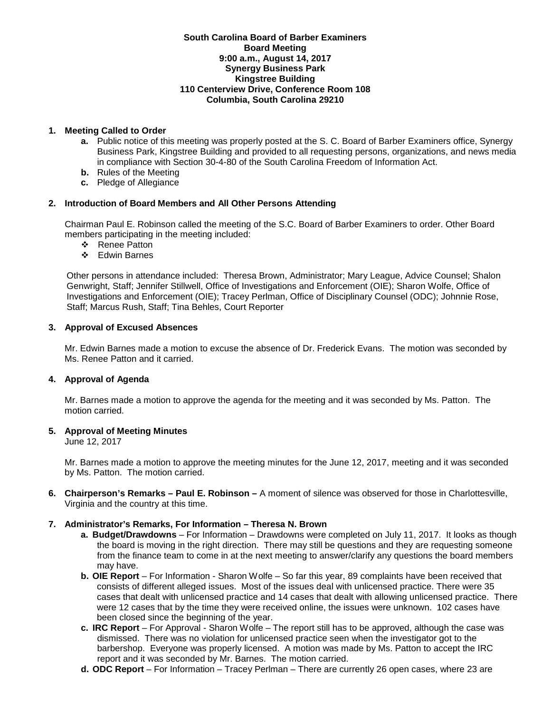### **South Carolina Board of Barber Examiners Board Meeting 9:00 a.m., August 14, 2017 Synergy Business Park Kingstree Building 110 Centerview Drive, Conference Room 108 Columbia, South Carolina 29210**

# **1. Meeting Called to Order**

- **a.** Public notice of this meeting was properly posted at the S. C. Board of Barber Examiners office, Synergy Business Park, Kingstree Building and provided to all requesting persons, organizations, and news media in compliance with Section 30-4-80 of the South Carolina Freedom of Information Act.
- **b.** Rules of the Meeting
- **c.** Pledge of Allegiance

# **2. Introduction of Board Members and All Other Persons Attending**

Chairman Paul E. Robinson called the meeting of the S.C. Board of Barber Examiners to order. Other Board members participating in the meeting included:

- ❖ Renee Patton
- Edwin Barnes

Other persons in attendance included: Theresa Brown, Administrator; Mary League, Advice Counsel; Shalon Genwright, Staff; Jennifer Stillwell, Office of Investigations and Enforcement (OIE); Sharon Wolfe, Office of Investigations and Enforcement (OIE); Tracey Perlman, Office of Disciplinary Counsel (ODC); Johnnie Rose, Staff; Marcus Rush, Staff; Tina Behles, Court Reporter

### **3. Approval of Excused Absences**

Mr. Edwin Barnes made a motion to excuse the absence of Dr. Frederick Evans. The motion was seconded by Ms. Renee Patton and it carried.

### **4. Approval of Agenda**

Mr. Barnes made a motion to approve the agenda for the meeting and it was seconded by Ms. Patton. The motion carried.

### **5. Approval of Meeting Minutes**

June 12, 2017

Mr. Barnes made a motion to approve the meeting minutes for the June 12, 2017, meeting and it was seconded by Ms. Patton. The motion carried.

**6. Chairperson's Remarks – Paul E. Robinson –** A moment of silence was observed for those in Charlottesville, Virginia and the country at this time.

### **7. Administrator's Remarks, For Information – Theresa N. Brown**

- **a. Budget/Drawdowns** For Information Drawdowns were completed on July 11, 2017. It looks as though the board is moving in the right direction. There may still be questions and they are requesting someone from the finance team to come in at the next meeting to answer/clarify any questions the board members may have.
- **b. OIE Report**  For Information Sharon Wolfe So far this year, 89 complaints have been received that consists of different alleged issues. Most of the issues deal with unlicensed practice. There were 35 cases that dealt with unlicensed practice and 14 cases that dealt with allowing unlicensed practice. There were 12 cases that by the time they were received online, the issues were unknown. 102 cases have been closed since the beginning of the year.
- **c. IRC Report**  For Approval Sharon Wolfe The report still has to be approved, although the case was dismissed. There was no violation for unlicensed practice seen when the investigator got to the barbershop. Everyone was properly licensed. A motion was made by Ms. Patton to accept the IRC report and it was seconded by Mr. Barnes. The motion carried.
- **d. ODC Report**  For Information Tracey Perlman There are currently 26 open cases, where 23 are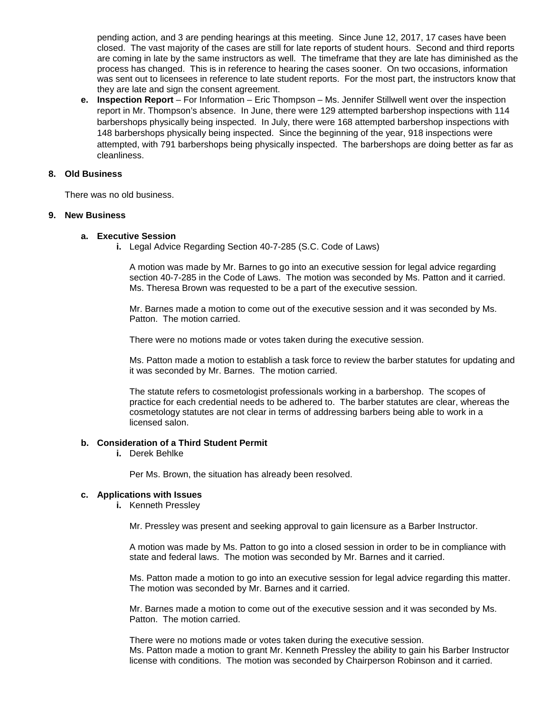pending action, and 3 are pending hearings at this meeting. Since June 12, 2017, 17 cases have been closed. The vast majority of the cases are still for late reports of student hours. Second and third reports are coming in late by the same instructors as well. The timeframe that they are late has diminished as the process has changed. This is in reference to hearing the cases sooner. On two occasions, information was sent out to licensees in reference to late student reports. For the most part, the instructors know that they are late and sign the consent agreement.

**e. Inspection Report** – For Information – Eric Thompson – Ms. Jennifer Stillwell went over the inspection report in Mr. Thompson's absence. In June, there were 129 attempted barbershop inspections with 114 barbershops physically being inspected. In July, there were 168 attempted barbershop inspections with 148 barbershops physically being inspected. Since the beginning of the year, 918 inspections were attempted, with 791 barbershops being physically inspected. The barbershops are doing better as far as cleanliness.

### **8. Old Business**

There was no old business.

### **9. New Business**

#### **a. Executive Session**

**i.** Legal Advice Regarding Section 40-7-285 (S.C. Code of Laws)

A motion was made by Mr. Barnes to go into an executive session for legal advice regarding section 40-7-285 in the Code of Laws. The motion was seconded by Ms. Patton and it carried. Ms. Theresa Brown was requested to be a part of the executive session.

Mr. Barnes made a motion to come out of the executive session and it was seconded by Ms. Patton. The motion carried.

There were no motions made or votes taken during the executive session.

Ms. Patton made a motion to establish a task force to review the barber statutes for updating and it was seconded by Mr. Barnes. The motion carried.

The statute refers to cosmetologist professionals working in a barbershop. The scopes of practice for each credential needs to be adhered to. The barber statutes are clear, whereas the cosmetology statutes are not clear in terms of addressing barbers being able to work in a licensed salon.

# **b. Consideration of a Third Student Permit**

**i.** Derek Behlke

Per Ms. Brown, the situation has already been resolved.

#### **c. Applications with Issues**

**i.** Kenneth Pressley

Mr. Pressley was present and seeking approval to gain licensure as a Barber Instructor.

A motion was made by Ms. Patton to go into a closed session in order to be in compliance with state and federal laws. The motion was seconded by Mr. Barnes and it carried.

Ms. Patton made a motion to go into an executive session for legal advice regarding this matter. The motion was seconded by Mr. Barnes and it carried.

Mr. Barnes made a motion to come out of the executive session and it was seconded by Ms. Patton. The motion carried.

There were no motions made or votes taken during the executive session. Ms. Patton made a motion to grant Mr. Kenneth Pressley the ability to gain his Barber Instructor license with conditions. The motion was seconded by Chairperson Robinson and it carried.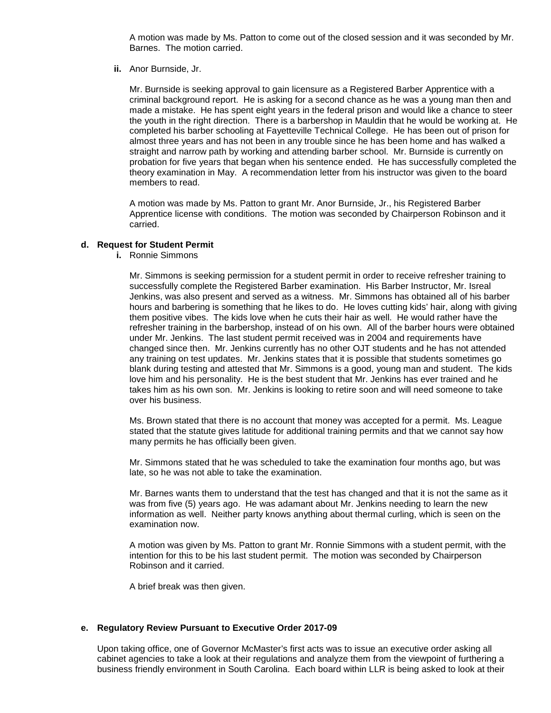A motion was made by Ms. Patton to come out of the closed session and it was seconded by Mr. Barnes. The motion carried.

**ii.** Anor Burnside, Jr.

Mr. Burnside is seeking approval to gain licensure as a Registered Barber Apprentice with a criminal background report. He is asking for a second chance as he was a young man then and made a mistake. He has spent eight years in the federal prison and would like a chance to steer the youth in the right direction. There is a barbershop in Mauldin that he would be working at. He completed his barber schooling at Fayetteville Technical College. He has been out of prison for almost three years and has not been in any trouble since he has been home and has walked a straight and narrow path by working and attending barber school. Mr. Burnside is currently on probation for five years that began when his sentence ended. He has successfully completed the theory examination in May. A recommendation letter from his instructor was given to the board members to read.

A motion was made by Ms. Patton to grant Mr. Anor Burnside, Jr., his Registered Barber Apprentice license with conditions. The motion was seconded by Chairperson Robinson and it carried.

### **d. Request for Student Permit**

**i.** Ronnie Simmons

Mr. Simmons is seeking permission for a student permit in order to receive refresher training to successfully complete the Registered Barber examination. His Barber Instructor, Mr. Isreal Jenkins, was also present and served as a witness. Mr. Simmons has obtained all of his barber hours and barbering is something that he likes to do. He loves cutting kids' hair, along with giving them positive vibes. The kids love when he cuts their hair as well. He would rather have the refresher training in the barbershop, instead of on his own. All of the barber hours were obtained under Mr. Jenkins. The last student permit received was in 2004 and requirements have changed since then. Mr. Jenkins currently has no other OJT students and he has not attended any training on test updates. Mr. Jenkins states that it is possible that students sometimes go blank during testing and attested that Mr. Simmons is a good, young man and student. The kids love him and his personality. He is the best student that Mr. Jenkins has ever trained and he takes him as his own son. Mr. Jenkins is looking to retire soon and will need someone to take over his business.

Ms. Brown stated that there is no account that money was accepted for a permit. Ms. League stated that the statute gives latitude for additional training permits and that we cannot say how many permits he has officially been given.

Mr. Simmons stated that he was scheduled to take the examination four months ago, but was late, so he was not able to take the examination.

Mr. Barnes wants them to understand that the test has changed and that it is not the same as it was from five (5) years ago. He was adamant about Mr. Jenkins needing to learn the new information as well. Neither party knows anything about thermal curling, which is seen on the examination now.

A motion was given by Ms. Patton to grant Mr. Ronnie Simmons with a student permit, with the intention for this to be his last student permit. The motion was seconded by Chairperson Robinson and it carried.

A brief break was then given.

### **e. Regulatory Review Pursuant to Executive Order 2017-09**

Upon taking office, one of Governor McMaster's first acts was to issue an executive order asking all cabinet agencies to take a look at their regulations and analyze them from the viewpoint of furthering a business friendly environment in South Carolina. Each board within LLR is being asked to look at their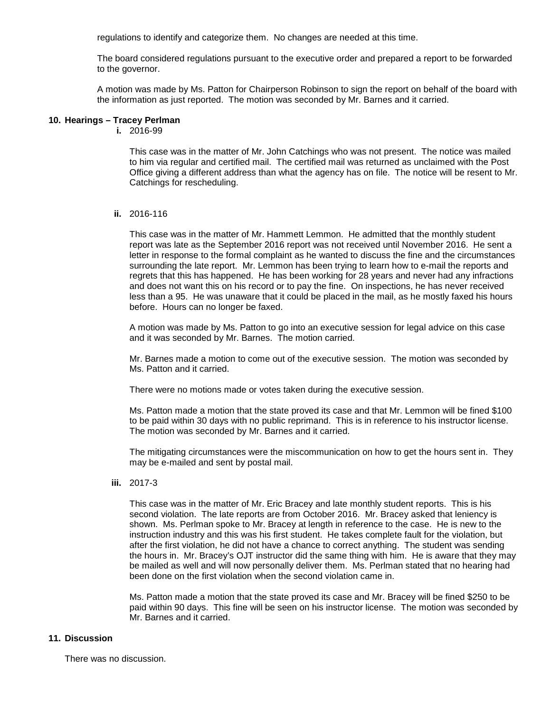regulations to identify and categorize them. No changes are needed at this time.

The board considered regulations pursuant to the executive order and prepared a report to be forwarded to the governor.

A motion was made by Ms. Patton for Chairperson Robinson to sign the report on behalf of the board with the information as just reported. The motion was seconded by Mr. Barnes and it carried.

### **10. Hearings – Tracey Perlman**

**i.** 2016-99

This case was in the matter of Mr. John Catchings who was not present. The notice was mailed to him via regular and certified mail. The certified mail was returned as unclaimed with the Post Office giving a different address than what the agency has on file. The notice will be resent to Mr. Catchings for rescheduling.

#### **ii.** 2016-116

This case was in the matter of Mr. Hammett Lemmon. He admitted that the monthly student report was late as the September 2016 report was not received until November 2016. He sent a letter in response to the formal complaint as he wanted to discuss the fine and the circumstances surrounding the late report. Mr. Lemmon has been trying to learn how to e-mail the reports and regrets that this has happened. He has been working for 28 years and never had any infractions and does not want this on his record or to pay the fine. On inspections, he has never received less than a 95. He was unaware that it could be placed in the mail, as he mostly faxed his hours before. Hours can no longer be faxed.

A motion was made by Ms. Patton to go into an executive session for legal advice on this case and it was seconded by Mr. Barnes. The motion carried.

Mr. Barnes made a motion to come out of the executive session. The motion was seconded by Ms. Patton and it carried.

There were no motions made or votes taken during the executive session.

Ms. Patton made a motion that the state proved its case and that Mr. Lemmon will be fined \$100 to be paid within 30 days with no public reprimand. This is in reference to his instructor license. The motion was seconded by Mr. Barnes and it carried.

The mitigating circumstances were the miscommunication on how to get the hours sent in. They may be e-mailed and sent by postal mail.

**iii.** 2017-3

This case was in the matter of Mr. Eric Bracey and late monthly student reports. This is his second violation. The late reports are from October 2016. Mr. Bracey asked that leniency is shown. Ms. Perlman spoke to Mr. Bracey at length in reference to the case. He is new to the instruction industry and this was his first student. He takes complete fault for the violation, but after the first violation, he did not have a chance to correct anything. The student was sending the hours in. Mr. Bracey's OJT instructor did the same thing with him. He is aware that they may be mailed as well and will now personally deliver them. Ms. Perlman stated that no hearing had been done on the first violation when the second violation came in.

Ms. Patton made a motion that the state proved its case and Mr. Bracey will be fined \$250 to be paid within 90 days. This fine will be seen on his instructor license. The motion was seconded by Mr. Barnes and it carried.

# **11. Discussion**

There was no discussion.